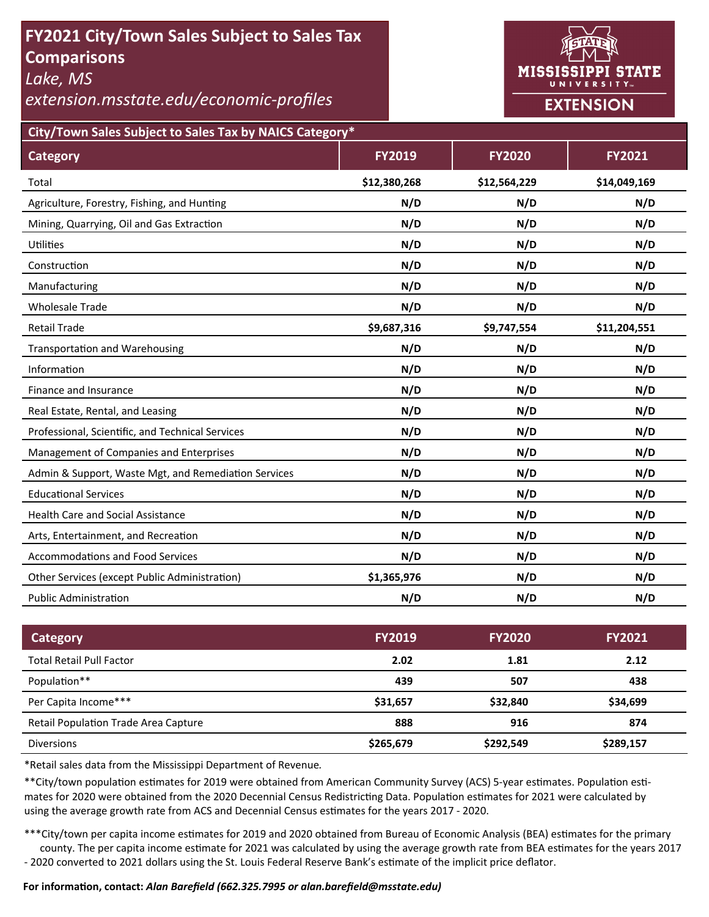# **FY2021 City/Town Sales Subject to Sales Tax Comparisons**

*Lake, MS* 

*extension.msstate.edu/economic‐profiles* 



**City/Town Sales Subject to Sales Tax by NAICS Category\***

| <b>Category</b>                                      | <b>FY2019</b> | <b>FY2020</b> | FY2021       |
|------------------------------------------------------|---------------|---------------|--------------|
| Total                                                | \$12,380,268  | \$12,564,229  | \$14,049,169 |
| Agriculture, Forestry, Fishing, and Hunting          | N/D           | N/D           | N/D          |
| Mining, Quarrying, Oil and Gas Extraction            | N/D           | N/D           | N/D          |
| Utilities                                            | N/D           | N/D           | N/D          |
| Construction                                         | N/D           | N/D           | N/D          |
| Manufacturing                                        | N/D           | N/D           | N/D          |
| <b>Wholesale Trade</b>                               | N/D           | N/D           | N/D          |
| <b>Retail Trade</b>                                  | \$9,687,316   | \$9,747,554   | \$11,204,551 |
| <b>Transportation and Warehousing</b>                | N/D           | N/D           | N/D          |
| Information                                          | N/D           | N/D           | N/D          |
| Finance and Insurance                                | N/D           | N/D           | N/D          |
| Real Estate, Rental, and Leasing                     | N/D           | N/D           | N/D          |
| Professional, Scientific, and Technical Services     | N/D           | N/D           | N/D          |
| Management of Companies and Enterprises              | N/D           | N/D           | N/D          |
| Admin & Support, Waste Mgt, and Remediation Services | N/D           | N/D           | N/D          |
| <b>Educational Services</b>                          | N/D           | N/D           | N/D          |
| <b>Health Care and Social Assistance</b>             | N/D           | N/D           | N/D          |
| Arts, Entertainment, and Recreation                  | N/D           | N/D           | N/D          |
| <b>Accommodations and Food Services</b>              | N/D           | N/D           | N/D          |
| Other Services (except Public Administration)        | \$1,365,976   | N/D           | N/D          |
| <b>Public Administration</b>                         | N/D           | N/D           | N/D          |

| <b>Category</b>                             | <b>FY2019</b> | <b>FY2020</b> | <b>FY2021</b> |
|---------------------------------------------|---------------|---------------|---------------|
| <b>Total Retail Pull Factor</b>             | 2.02          | 1.81          | 2.12          |
| Population**                                | 439           | 507           | 438           |
| Per Capita Income***                        | \$31,657      | \$32,840      | \$34,699      |
| <b>Retail Population Trade Area Capture</b> | 888           | 916           | 874           |
| <b>Diversions</b>                           | \$265,679     | \$292,549     | \$289,157     |

\*Retail sales data from the Mississippi Department of Revenue*.* 

\*\*City/town population estimates for 2019 were obtained from American Community Survey (ACS) 5-year estimates. Population estimates for 2020 were obtained from the 2020 Decennial Census Redistricting Data. Population estimates for 2021 were calculated by using the average growth rate from ACS and Decennial Census estimates for the years 2017 - 2020.

\*\*\*City/town per capita income estimates for 2019 and 2020 obtained from Bureau of Economic Analysis (BEA) estimates for the primary county. The per capita income estimate for 2021 was calculated by using the average growth rate from BEA estimates for the years 2017 - 2020 converted to 2021 dollars using the St. Louis Federal Reserve Bank's estimate of the implicit price deflator.

### **For informaƟon, contact:** *Alan Barefield (662.325.7995 or alan.barefield@msstate.edu)*